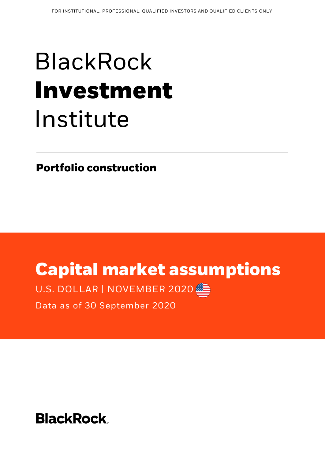# BlackRock **Investment** Institute

**Portfolio construction**

## **Capital market assumptions**

U.S. DOLLAR | NOVEMBER 2020



Data as of 30 September 2020

**BlackRock.**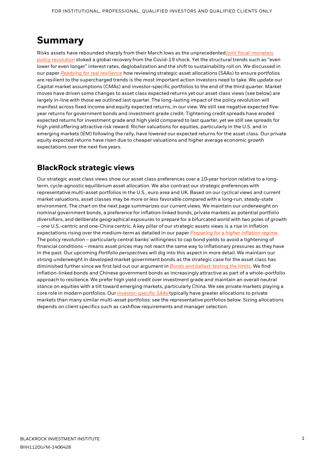### **Summary**

[Risks assets have rebounded sharply from their March lows as the unprecedented](https://www.blackrock.com/corporate/literature/whitepaper/bii-macro-perspectives-june-2020.pdf)*joint fiscal-monetary policy revolution* stoked a global recovery from the Covid-19 shock. Yet the structural trends such as "even lower for even longer" interest rates, deglobalization and the shift to sustainability roll on. We discussed in our paper *[Readying for real resilience](https://www.blackrock.com/institutions/en-zz/insights/portfolio-design/preparing-for-real-resilience)* how reviewing strategic asset allocations (SAAs) to ensure portfolios are resilient to the supercharged trends is the most important action investors need to take. We update our Capital market assumptions (CMAs) and investor-specific portfolios to the end of the third quarter. Market moves have driven some changes to asset class expected returns yet our asset class views (see below) are largely in-line with those we outlined last quarter. The long-lasting impact of the policy revolution will manifest across fixed income and equity expected returns, in our view. We still see negative expected fiveyear returns for government bonds and investment grade credit. Tightening credit spreads have eroded expected returns for investment grade and high yield compared to last quarter, yet we still see spreads for high yield offering attractive risk reward. Richer valuations for equities, particularly in the U.S. and in emerging markets (EM) following the rally, have lowered our expected returns for the asset class. Our private equity expected returns have risen due to cheaper valuations and higher average economic growth expectations over the next five years.

#### **BlackRock strategic views**

Our strategic asset class views show our asset class preferences over a 10-year horizon relative to a longterm, cycle-agnostic equilibrium asset allocation. We also contrast our strategic preferences with representative multi-asset portfolios in the U.S., euro area and UK. Based on our cyclical views and current market valuations, asset classes may be more or less favorable compared with a long-run, steady-state environment. The chart on the next page summarizes our current views. We maintain our underweight on nominal government bonds, a preference for inflation-linked bonds, private markets as potential portfolio diversifiers, and deliberate geographical exposures to prepare for a bifurcated world with two poles of growth – one U.S.-centric and one-China centric. A key pillar of our strategic assets views is a rise in inflation expectations rising over the medium-term as detailed in our paper *[Preparing for a higher inflation regime](https://www.blackrock.com/corporate/insights/blackrock-investment-institute/publications/global-macro-outlook)*. The policy revolution – particularly central banks' willingness to cap bond yields to avoid a tightening of financial conditions – means asset prices may not react the same way to inflationary pressures as they have in the past. Our upcoming *Portfolio perspectives* will dig into this aspect in more detail. We maintain our strong underweight in developed market government bonds as the strategic case for the asset class has diminished further since we first laid out our argument in*[Bonds and ballast: testing the limits](https://www.blackrock.com/institutions/en-zz/insights/portfolio-design/testing-the-limits-of-government-bonds)*. We find inflation-linked bonds and Chinese government bonds as increasingly attractive as part of a whole-portfolio approach to resilience. We prefer high yield credit over investment grade and maintain an overall neutral stance on equities with a tilt toward emerging markets, particularly China. We see private markets playing a core role in modern portfolios. Our *[investor-specific SAAs](https://www.blackrock.com/institutions/en-zz/insights/charts/capital-market-assumptions#strategic-asset-allocation)* typically have greater allocations to private markets than many similar multi-asset portfolios: see the representative portfolios below. Sizing allocations depends on client specifics such as cashflow requirements and manager selection.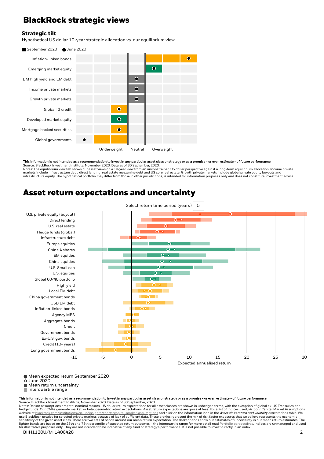#### **BlackRock strategic views**

#### **Strategic tilt**

Hypothetical US dollar 10-year strategic allocation vs. our equilibrium view



This information is not intended as a recommendation to invest in any particular asset class or strategy or as a promise - or even estimate - of future performance. Source: BlackRock Investment Institute, November 2020. Data as of 30 September, 2020.

Notes: The equilibrium view tab shows our asset views on a 10-year view from an unconstrained US dollar perspective against a long-term equilibrium allocation. Income private<br>markets include infrastructure debt, direct len infrastructure equity. The hypothetical portfolio may differ from those in other jurisdictions, is intended for information purposes only and does not constitute investment advice.

#### **Asset return expectations and uncertainty**



Mean expected return September 2020 June 2020

**Mean return uncertainty** 

Interquartile range

This information is not intended as a recommendation to invest in any particular asset class or strategy or as a promise - or even estimate - of future performance.

Source: BlackRock Investment Institute, November 2020. Data as of 30 September, 2020. Notes: Return assumptions are total nominal returns. US dollar return expectations for all asset classes are shown in unhedged terms, with the exception of global ex-US Treasuries and hedge funds. Our CMAs generate market, or beta, geometric return expectations. Asset return expectations are gross of fees. For a list of indices used, visit our Capital Market Assumptions<br>website at <u>blackrock.com/institu</u> sensitivity of the given asset class. There are two sets of bands around our mean return expectation. The darker bands show our estimates of uncertainty in our mean return estimates. The<br>lighter bands are based on the 25th BIIH1120U/M-1406428 2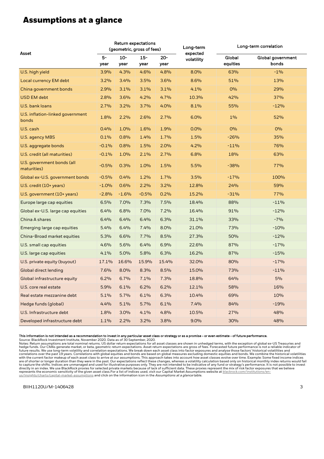#### **Assumptions at a glance**

| Asset                                     | <b>Return expectations</b><br>(geometric, gross of fees) |                |                |                | Long-term<br>expected | Long-term correlation |                            |
|-------------------------------------------|----------------------------------------------------------|----------------|----------------|----------------|-----------------------|-----------------------|----------------------------|
|                                           | $5-$<br>year                                             | $10 -$<br>year | $15 -$<br>year | $20 -$<br>year | volatility            | Global<br>equities    | Global government<br>bonds |
| U.S. high yield                           | 3.9%                                                     | 4.3%           | 4.6%           | 4.8%           | 8.0%                  | 63%                   | $-1%$                      |
| <b>Local currency EM debt</b>             | 3.2%                                                     | 3.4%           | 3.5%           | 3.6%           | 8.6%                  | 51%                   | 13%                        |
| China government bonds                    | 2.9%                                                     | 3.1%           | 3.1%           | 3.1%           | 4.1%                  | $O\%$                 | 29%                        |
| <b>USD EM debt</b>                        | 2.8%                                                     | 3.6%           | 4.2%           | 4.7%           | 10.3%                 | 42%                   | 37%                        |
| U.S. bank loans                           | 2.7%                                                     | 3.2%           | 3.7%           | 4.0%           | 8.1%                  | 55%                   | $-12%$                     |
| U.S. inflation-linked government<br>bonds | 1.8%                                                     | 2.2%           | 2.6%           | 2.7%           | 6.0%                  | $1\%$                 | 52%                        |
| U.S. cash                                 | 0.4%                                                     | 1.0%           | 1.6%           | 1.9%           | 0.0%                  | 0%                    | 0%                         |
| U.S. agency MBS                           | 0.1%                                                     | 0.8%           | 1.4%           | 1.7%           | 1.5%                  | $-26%$                | 35%                        |
| U.S. aggregate bonds                      | $-0.1%$                                                  | 0.8%           | 1.5%           | 2.0%           | 4.2%                  | $-11%$                | 76%                        |
| U.S. credit (all maturities)              | $-0.1%$                                                  | 1.0%           | 2.1%           | 2.7%           | 6.8%                  | 18%                   | 63%                        |
| U.S. government bonds (all<br>maturities) | $-0.5%$                                                  | 0.3%           | 1.0%           | 1.5%           | 5.5%                  | $-38%$                | 77%                        |
| Global ex-U.S. government bonds           | $-0.5%$                                                  | 0.4%           | 1.2%           | 1.7%           | 3.5%                  | $-17%$                | 100%                       |
| U.S. credit (10+ years)                   | $-1.0%$                                                  | 0.6%           | 2.2%           | 3.2%           | 12.8%                 | 24%                   | 59%                        |
| U.S. government (10+ years)               | $-2.8%$                                                  | $-1.6%$        | $-0.5%$        | 0.2%           | 15.2%                 | $-31%$                | 77%                        |
| Europe large cap equities                 | 6.5%                                                     | 7.0%           | 7.3%           | 7.5%           | 18.4%                 | 88%                   | $-11%$                     |
| Global ex-U.S. large cap equities         | 6.4%                                                     | 6.8%           | 7.0%           | 7.2%           | 16.4%                 | 91%                   | $-12%$                     |
| China A shares                            | 6.4%                                                     | 6.4%           | 6.4%           | 6.3%           | 31.1%                 | 33%                   | $-7%$                      |
| Emerging large cap equities               | 5.4%                                                     | 6.4%           | 7.4%           | 8.0%           | 21.0%                 | 73%                   | $-10%$                     |
| China-Broad market equities               | 5.3%                                                     | 6.6%           | 7.7%           | 8.5%           | 27.3%                 | 50%                   | $-12%$                     |
| U.S. small cap equities                   | 4.6%                                                     | 5.6%           | 6.4%           | 6.9%           | 22.6%                 | 87%                   | $-17%$                     |
| U.S. large cap equities                   | 4.1%                                                     | 5.0%           | 5.8%           | 6.3%           | 16.2%                 | 87%                   | $-15%$                     |
| U.S. private equity (buyout)              | 17.1%                                                    | 16.6%          | 15.9%          | 15.4%          | 32.0%                 | 80%                   | $-17%$                     |
| <b>Global direct lending</b>              | 7.6%                                                     | 8.0%           | 8.3%           | 8.5%           | 15.0%                 | 73%                   | $-11%$                     |
| Global infrastructure equity              | 6.2%                                                     | 6.7%           | 7.1%           | 7.3%           | 18.8%                 | 64%                   | 5%                         |
| U.S. core real estate                     | 5.9%                                                     | 6.1%           | 6.2%           | 6.2%           | 12.1%                 | 58%                   | 16%                        |
| Real estate mezzanine debt                | 5.1%                                                     | 5.7%           | 6.1%           | 6.3%           | 10.4%                 | 69%                   | 10%                        |
| Hedge funds (global)                      | 4.4%                                                     | 5.1%           | 5.7%           | 6.1%           | 7.4%                  | 84%                   | $-19%$                     |
| U.S. Infrastructure debt                  | 1.8%                                                     | 3.0%           | 4.1%           | 4.8%           | 10.5%                 | 27%                   | 48%                        |
| Developed infrastructure debt             | 1.1%                                                     | 2.2%           | 3.2%           | 3.8%           | 9.0%                  | 30%                   | 48%                        |

This information is not intended as a recommendation to invest in any particular asset class or strategy or as a promise - or even estimate - of future performance.<br>Source: BlackRock Investment Institute, November 2020. Da

BIIH1120U/M-1406428 3